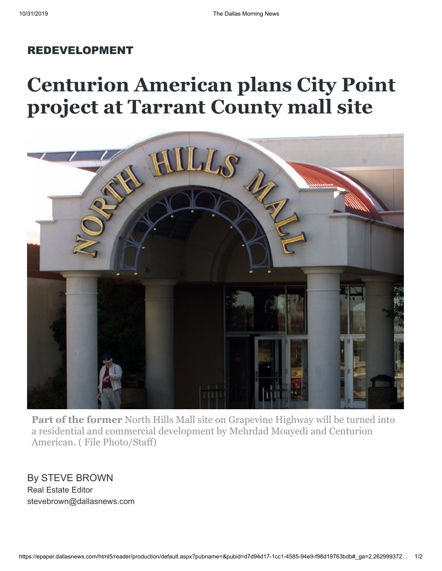## REDEVELOPMENT

## **Centurion American plans City Point project at Tarrant County mall site**



**Part of the former** North Hills Mall site on Grapevine Highway will be turned into a residential and commercial development by Mehrdad Moayedi and Centurion American. ( File Photo/Staff)

By STEVE BROWN Real Estate Editor stevebrown@dallasnews.com